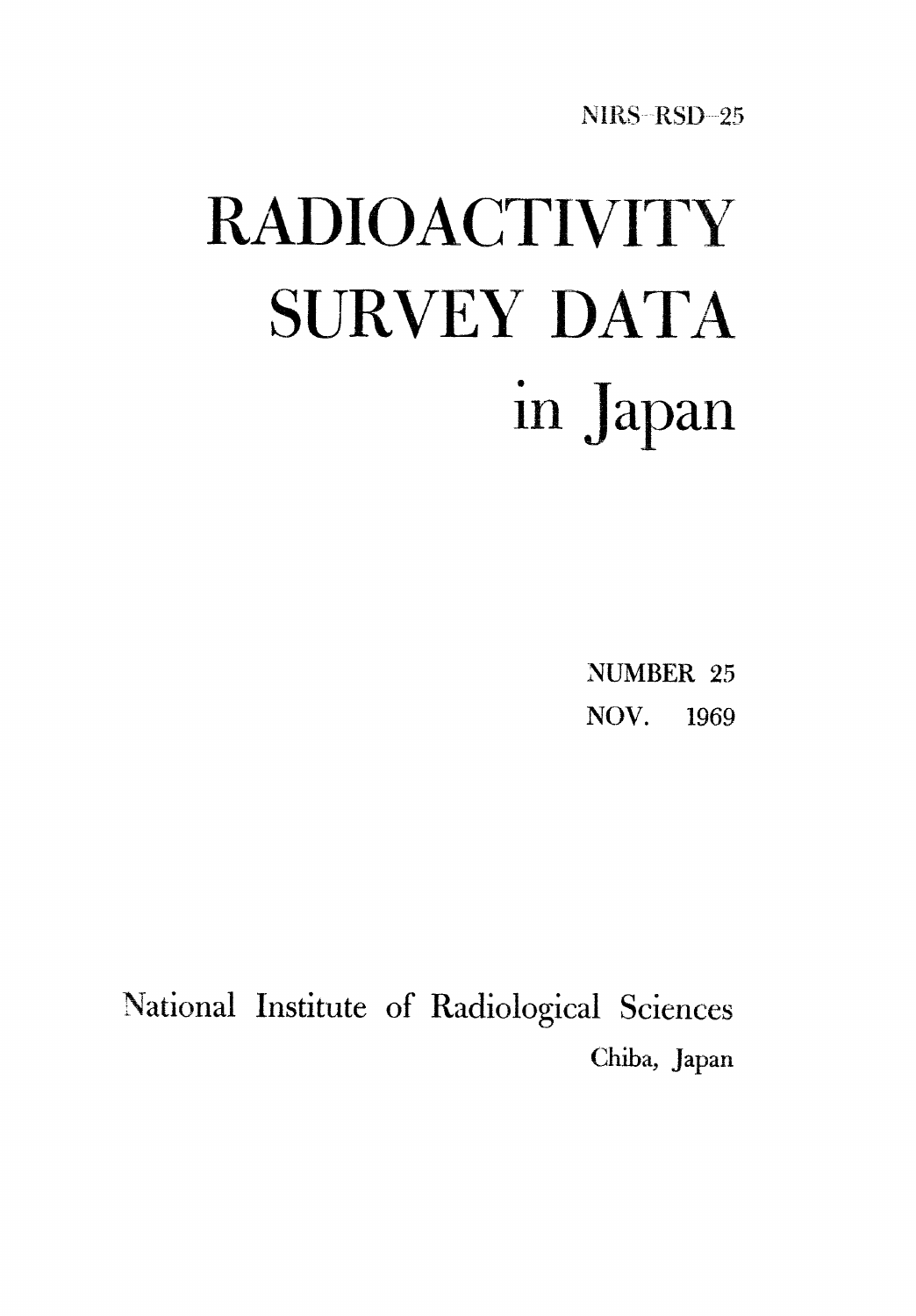NIRS-RSD-25

# **RADIOACTIVITY SURVEY DATA** in Japan

**NUMBER 25** NOV. 1969

National Institute of Radiological Sciences Chiba, Japan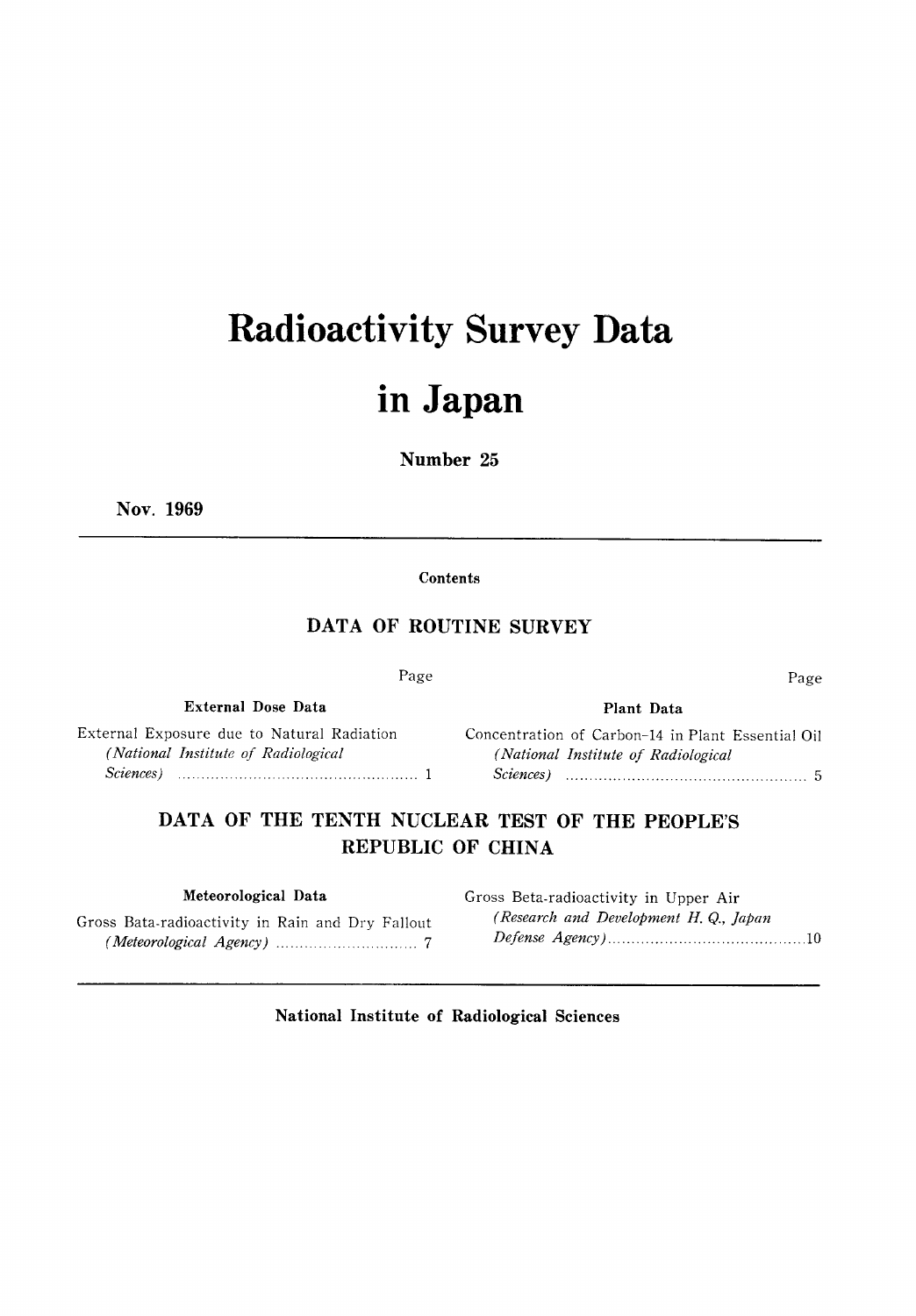# **Radioactivity Survey Data**

### in Japan

#### Number 25

Nov. 1969

Contents

#### DATA OF ROUTINE SURVEY

| Page |  |
|------|--|

External Exposure due to Natural Radiation (National Institute of Radiological  $Science$   $1$ 

**External Dose Data** 

#### Plant Data

Page

Concentration of Carbon-14 in Plant Essential Oil (National Institute of Radiological  $Science$   $5$ 

DATA OF THE TENTH NUCLEAR TEST OF THE PEOPLE'S REPUBLIC OF CHINA

#### Meteorological Data

Gross Bata-radioactivity in Rain and Dry Fallout 

Gross Beta-radioactivity in Upper Air (Research and Development H.Q., Japan 

National Institute of Radiological Sciences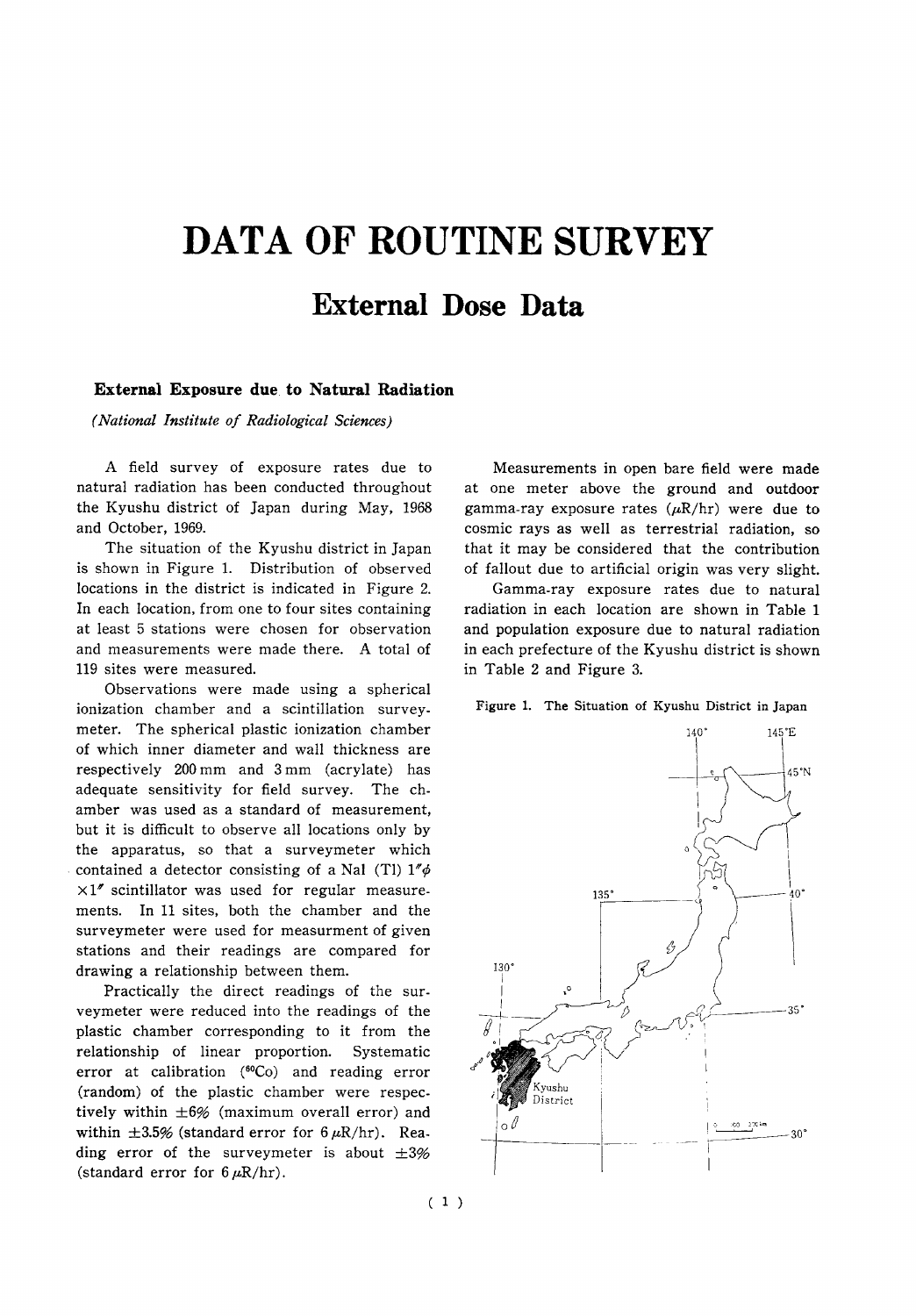## DATA OF ROUTINE SURVEY

### **External Dose Data**

#### External Exposure due to Natural Radiation

(National Institute of Radiological Sciences)

A field survey of exposure rates due to natural radiation has been conducted throughout the Kyushu district of Japan during May, 1968 and October, 1969.

The situation of the Kyushu district in Japan is shown in Figure 1. Distribution of observed locations in the district is indicated in Figure 2. In each location, from one to four sites containing at least 5 stations were chosen for observation and measurements were made there. A total of 119 sites were measured.

Observations were made using a spherical ionization chamber and a scintillation surveymeter. The spherical plastic ionization chamber of which inner diameter and wall thickness are respectively 200 mm and 3 mm (acrylate) has adequate sensitivity for field survey. The chamber was used as a standard of measurement. but it is difficult to observe all locations only by the apparatus, so that a surveymeter which contained a detector consisting of a Nal (Tl)  $1''\phi$  $\times1''$  scintillator was used for regular measurements. In 11 sites, both the chamber and the surveymeter were used for measurment of given stations and their readings are compared for drawing a relationship between them.

Practically the direct readings of the surveymeter were reduced into the readings of the plastic chamber corresponding to it from the relationship of linear proportion. Systematic error at calibration (60Co) and reading error (random) of the plastic chamber were respectively within  $\pm 6\%$  (maximum overall error) and within  $\pm 3.5\%$  (standard error for  $6 \mu R/hr$ ). Reading error of the surveymeter is about  $\pm 3\%$ (standard error for  $6 \mu R/hr$ ).

Measurements in open bare field were made at one meter above the ground and outdoor gamma-ray exposure rates  $(\mu R/hr)$  were due to cosmic rays as well as terrestrial radiation, so that it may be considered that the contribution of fallout due to artificial origin was very slight.

Gamma-ray exposure rates due to natural radiation in each location are shown in Table 1 and population exposure due to natural radiation in each prefecture of the Kyushu district is shown in Table 2 and Figure 3.

Figure 1. The Situation of Kyushu District in Japan

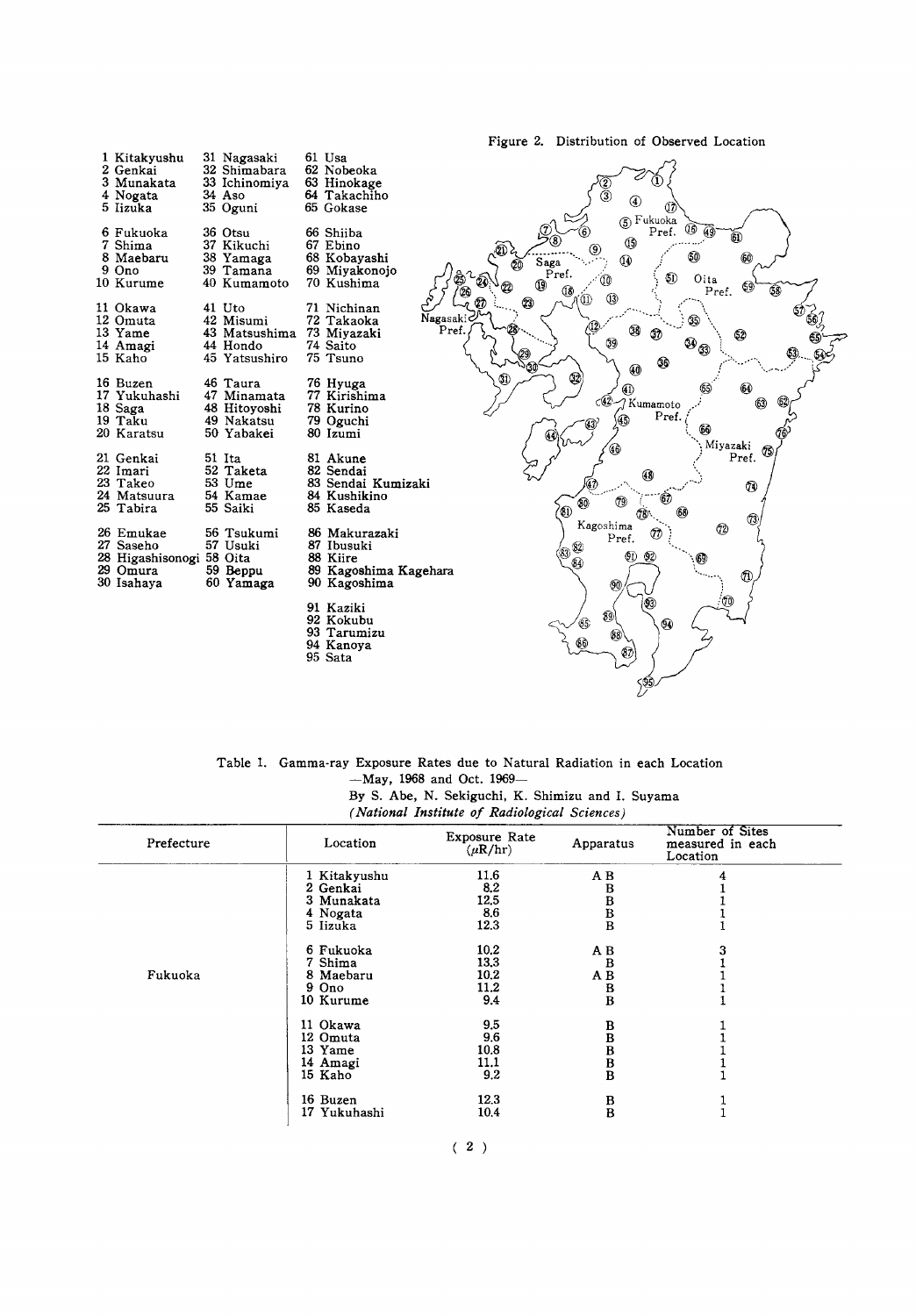

| Table 1. Gamma-ray Exposure Rates due to Natural Radiation in each Location |
|-----------------------------------------------------------------------------|
| $-Mav.$ 1968 and Oct. 1969-                                                 |
| By S. Abe, N. Sekiguchi, K. Shimizu and I. Suvama                           |
| (National Institute of Radiological Sciences)                               |

 $\ddotsc$ 

 $\sim$   $\sim$ 

| Prefecture | Location     | Exposure Rate<br>$(\mu R/hr)$ | Apparatus                                                     | Number of Sites<br>measured in each<br>Location |
|------------|--------------|-------------------------------|---------------------------------------------------------------|-------------------------------------------------|
|            | 1 Kitakyushu | 11.6                          | A B                                                           |                                                 |
|            | 2 Genkai     | 8.2                           | в                                                             |                                                 |
|            | 3 Munakata   | 12.5                          |                                                               |                                                 |
|            | 4 Nogata     | 8.6                           |                                                               |                                                 |
|            | 5 Iizuka     | 12.3                          | $\begin{array}{c} \text{B} \ \text{B} \ \text{B} \end{array}$ |                                                 |
|            | 6 Fukuoka    | 10.2                          | A B                                                           | 3                                               |
|            | 7 Shima      | 13.3                          | $\bf{B}$                                                      |                                                 |
| Fukuoka    | 8 Maebaru    | 10,2                          | A B                                                           |                                                 |
|            | 9 Ono        | 11.2                          |                                                               |                                                 |
|            | 10 Kurume    | 9.4                           | $\frac{B}{B}$                                                 |                                                 |
|            | 11 Okawa     | 9.5                           | B                                                             |                                                 |
|            | 12 Omuta     | 9.6                           | $\bar{\mathbf{B}}$                                            |                                                 |
|            | 13 Yame      | 10.8                          |                                                               |                                                 |
|            | 14 Amagi     | 11,1                          |                                                               |                                                 |
|            | 15 Kaho      | 9.2                           | $\bar{B}$<br>$B$<br>$B$                                       |                                                 |
|            | 16 Buzen     | 12.3                          |                                                               |                                                 |
|            | 17 Yukuhashi | 10.4                          | $_{\rm B}^{\rm B}$                                            |                                                 |

 $(2)$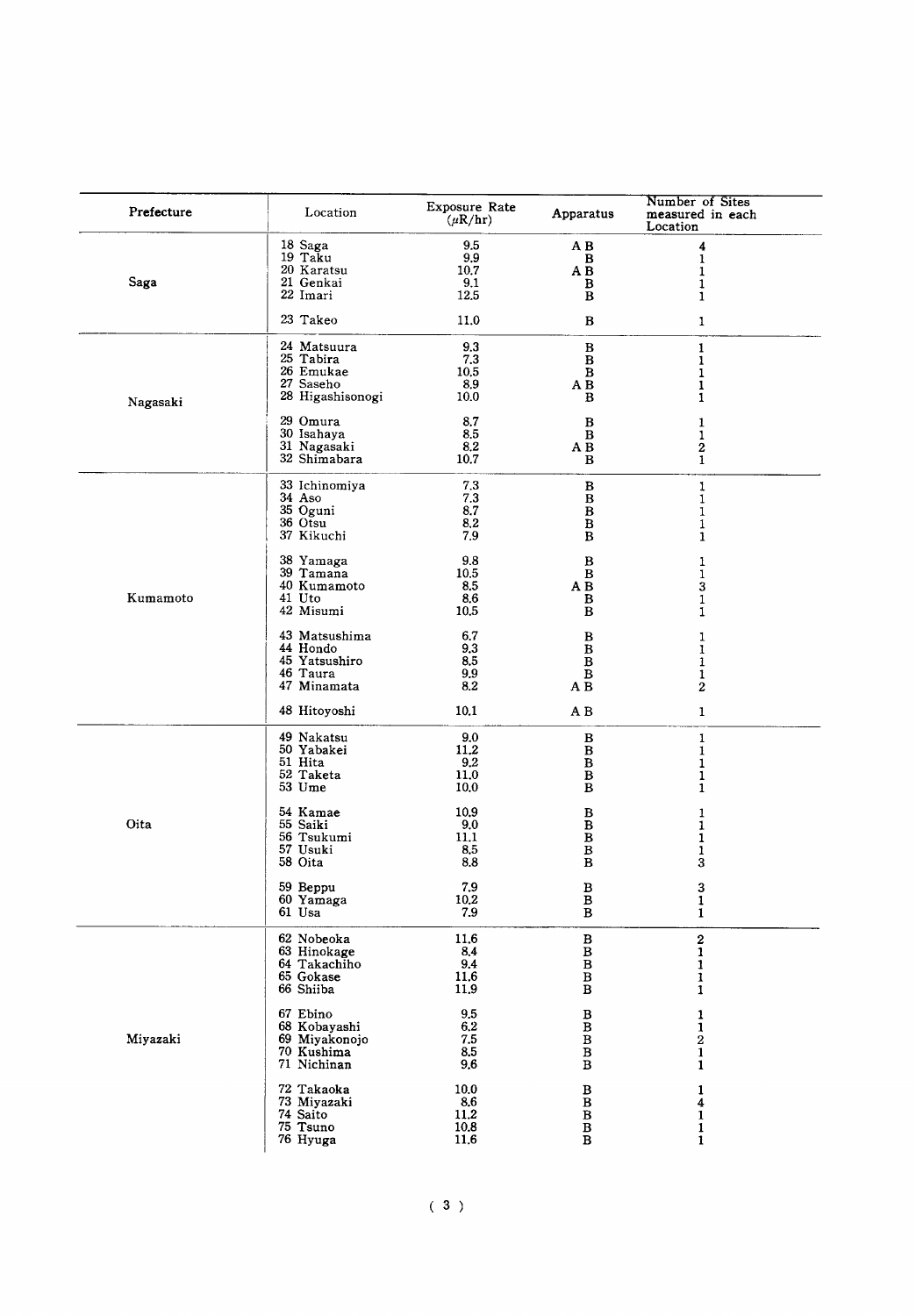| Prefecture | Location                                                               | Exposure Rate<br>$(\mu R/hr)$      | Apparatus                                                             | Number of Sites<br>measured in each<br>Location |
|------------|------------------------------------------------------------------------|------------------------------------|-----------------------------------------------------------------------|-------------------------------------------------|
| Saga       | 18 Saga                                                                | 9.5                                | AВ                                                                    | 4                                               |
|            | 19 Taku                                                                | 9,9                                | B                                                                     | $\mathbf{1}$                                    |
|            | 20 Karatsu                                                             | 10.7                               | A B                                                                   | 1                                               |
|            | 21 Genkai                                                              | 9.1                                | в                                                                     | 1                                               |
|            | 22 Imari                                                               | 12.5                               | B                                                                     | 1                                               |
|            | 23 Takeo                                                               | 11.0                               | В                                                                     | 1                                               |
| Nagasaki   | 24 Matsuura                                                            | 9.3                                | $\, {\bf B}$                                                          | $\mathbf{1}$                                    |
|            | 25 Tabira                                                              | 7.3                                | В                                                                     | $\mathbf{1}$                                    |
|            | 26 Emukae                                                              | 10,5                               | в                                                                     | 1                                               |
|            | 27 Saseho                                                              | 8,9                                | A B                                                                   | 1                                               |
|            | 28 Higashisonogi                                                       | 10.0                               | B                                                                     | 1                                               |
|            | 29 Omura                                                               | 8,7                                | В                                                                     | 1                                               |
|            | 30 Isahaya                                                             | 8.5                                | B                                                                     | 1                                               |
|            | 31 Nagasaki                                                            | 8,2                                | AВ                                                                    | 2                                               |
|            | 32 Shimabara                                                           | 10.7                               | В                                                                     | 1                                               |
|            | 33 Ichinomiya                                                          | 7.3                                | $\, {\bf B}$                                                          | 1                                               |
|            | 34 Aso                                                                 | 7.3                                | В                                                                     | 1                                               |
|            | 35 Oguni                                                               | 8.7                                | $\, {\bf B}$                                                          | 1                                               |
|            | 36 Otsu                                                                | 8,2                                | $\, {\bf B}$                                                          | $\mathbf{1}$                                    |
|            | 37 Kikuchi                                                             | 7.9                                | в                                                                     | 1                                               |
| Kumamoto   | 38 Yamaga                                                              | 9.8                                | в                                                                     | 1                                               |
|            | 39 Tamana                                                              | 10.5                               | $\, {\bf B}$                                                          | 1                                               |
|            | 40 Kumamoto                                                            | 8.5                                | AВ                                                                    | 3                                               |
|            | 41 Uto                                                                 | 8.6                                | в                                                                     | 1                                               |
|            | 42 Misumi                                                              | 10,5                               | в                                                                     | 1                                               |
|            | 43 Matsushima                                                          | 6.7                                | В                                                                     | 1                                               |
|            | 44 Hondo                                                               | 9,3                                | B                                                                     | 1                                               |
|            | 45 Yatsushiro                                                          | 8.5                                | В                                                                     | 1                                               |
|            | 46 Taura                                                               | 9.9                                | $\, {\bf B}$                                                          | 1                                               |
|            | 47 Minamata                                                            | 8.2                                | AВ                                                                    | 2                                               |
|            | 48 Hitoyoshi                                                           | 10.1                               | A B                                                                   | $\mathbf{1}$                                    |
|            | 49 Nakatsu                                                             | 9.0                                | $\, {\bf B}$                                                          | 1                                               |
|            | 50 Yabakei                                                             | 11,2                               | $\, {\bf B}$                                                          | 1                                               |
|            | 51 Hita                                                                | 9.2                                | $\, {\bf B}$                                                          | 1                                               |
|            | 52 Taketa                                                              | 11.0                               | $\, {\bf B}$                                                          | 1                                               |
|            | 53 Ume                                                                 | 10.0                               | B                                                                     | 1                                               |
| Oita       | 54 Kamae                                                               | 10.9                               | В                                                                     | 1                                               |
|            | 55 Saiki                                                               | 9.0                                | $\, {\bf B}$                                                          | 1                                               |
|            | 56 Tsukumi                                                             | 11.1                               | $\, {\bf B}$                                                          | 1                                               |
|            | 57 Usuki                                                               | 8,5                                | $\, {\bf B}$                                                          | 1                                               |
|            | 58 Oita                                                                | 8.8                                | $\, {\bf B}$                                                          | 3                                               |
|            | 59 Beppu<br>60 Yamaga<br>61 Usa                                        | 7.9<br>$10.2\,$<br>7.9             | в<br>B<br>B                                                           | 3<br>$\mathbf{1}$<br>$\mathbf{1}$               |
|            | 62 Nobeoka<br>63 Hinokage<br>64 Takachiho<br>65 Gokase<br>66 Shiiba    | 11.6<br>8.4<br>9.4<br>11.6<br>11.9 | $\, {\bf B}$<br>$\bar{B}$<br>$B$<br>$\, {\bf B}$<br>$\, {\bf B}$      | $\bf{2}$<br>$\mathbf{1}$<br>1<br>1<br>1         |
| Miyazaki   | 67 Ebino<br>68 Kobavashi<br>69 Miyakonojo<br>70 Kushima<br>71 Nichinan | 9.5<br>6.2<br>7.5<br>8.5<br>9.6    | $\, {\bf B}$<br>$\overline{B}$<br>$B$<br>$\, {\bf B}$<br>$\, {\bf B}$ | 1<br>1<br>2<br>1<br>1                           |
|            | 72 Takaoka                                                             | 10.0                               | B                                                                     | 1                                               |
|            | 73 Miyazaki                                                            | 8.6                                | в                                                                     | 4                                               |
|            | 74 Saito                                                               | 11.2                               | $\, {\bf B}$                                                          | 1                                               |
|            | 75 Tsuno                                                               | 10.8                               | $\, {\bf B}$                                                          | 1                                               |
|            | 76 Hyuga                                                               | 11.6                               | в                                                                     | 1                                               |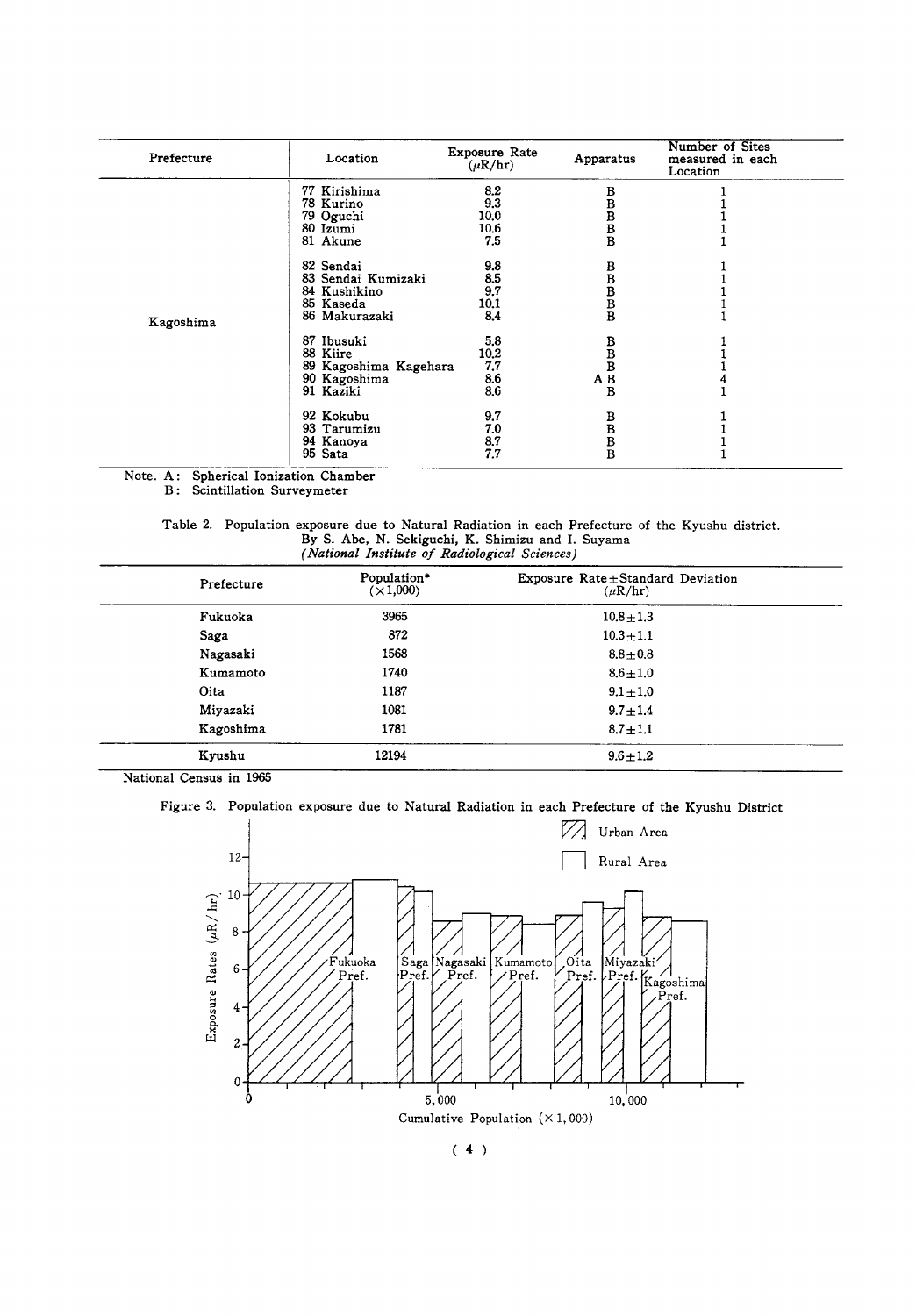| Prefecture | Location              | <b>Exposure Rate</b><br>$(\mu R/hr)$ | Apparatus                             | Number of Sites<br>measured in each<br>Location |
|------------|-----------------------|--------------------------------------|---------------------------------------|-------------------------------------------------|
|            | 77 Kirishima          | 8.2                                  | в                                     |                                                 |
|            | 78 Kurino             | 9.3                                  | в                                     |                                                 |
|            | 79 Oguchi             | 10,0                                 | B                                     |                                                 |
|            | 80 Izumi              | 10.6                                 |                                       |                                                 |
|            | 81 Akune              | 7.5                                  | $\frac{\mathbf{B}}{\mathbf{B}}$       |                                                 |
|            | 82 Sendai             | 9.8                                  | в                                     |                                                 |
|            | 83 Sendai Kumizaki    | 8.5                                  | B                                     |                                                 |
|            | 84 Kushikino          | 9.7                                  |                                       |                                                 |
|            | 85 Kaseda             | 10.1                                 | $_{\rm B}^{\rm B}$                    |                                                 |
| Kagoshima  | 86 Makurazaki         | 8.4                                  |                                       |                                                 |
|            | 87 Ibusuki            | 5.8                                  |                                       |                                                 |
|            | 88 Kiire              | 10.2                                 | $\begin{array}{c} B \\ B \end{array}$ |                                                 |
|            | 89 Kagoshima Kagehara | 7.7                                  |                                       |                                                 |
|            | 90 Kagoshima          | 8,6                                  | $\mathbf A$ $\mathbf B$               |                                                 |
|            | 91 Kaziki             | 8,6                                  | B                                     |                                                 |
|            | 92 Kokubu             | 9.7                                  | в                                     |                                                 |
|            | 93 Tarumizu           | 7.0                                  |                                       |                                                 |
|            | 94 Kanoya             | 8.7                                  |                                       |                                                 |
|            | 95 Sata               | 7.7                                  | B<br>B<br>B                           |                                                 |

Spherical Ionization Chamber Note. A: **B:** Scintillation Surveymeter

> Table 2. Population exposure due to Natural Radiation in each Prefecture of the Kyushu district.<br>By S. Abe, N. Sekiguchi, K. Shimizu and I. Suyama (National Institute of Radiological Sciences)

| Prefecture | Population*<br>$(\times 1,000)$ | Exposure Rate ± Standard Deviation<br>$(\mu R/hr)$ |  |
|------------|---------------------------------|----------------------------------------------------|--|
| Fukuoka    | 3965                            | $10.8 \pm 1.3$                                     |  |
| Saga       | 872                             | $10.3 + 1.1$                                       |  |
| Nagasaki   | 1568                            | $8.8 \pm 0.8$                                      |  |
| Kumamoto   | 1740                            | $8.6 \pm 1.0$                                      |  |
| Oita       | 1187                            | $9.1 \pm 1.0$                                      |  |
| Miyazaki   | 1081                            | $9.7 \pm 1.4$                                      |  |
| Kagoshima  | 1781                            | $8.7 \pm 1.1$                                      |  |
| Kvushu     | 12194                           | $9.6 \pm 1.2$                                      |  |

National Census in 1965

Figure 3. Population exposure due to Natural Radiation in each Prefecture of the Kyushu District

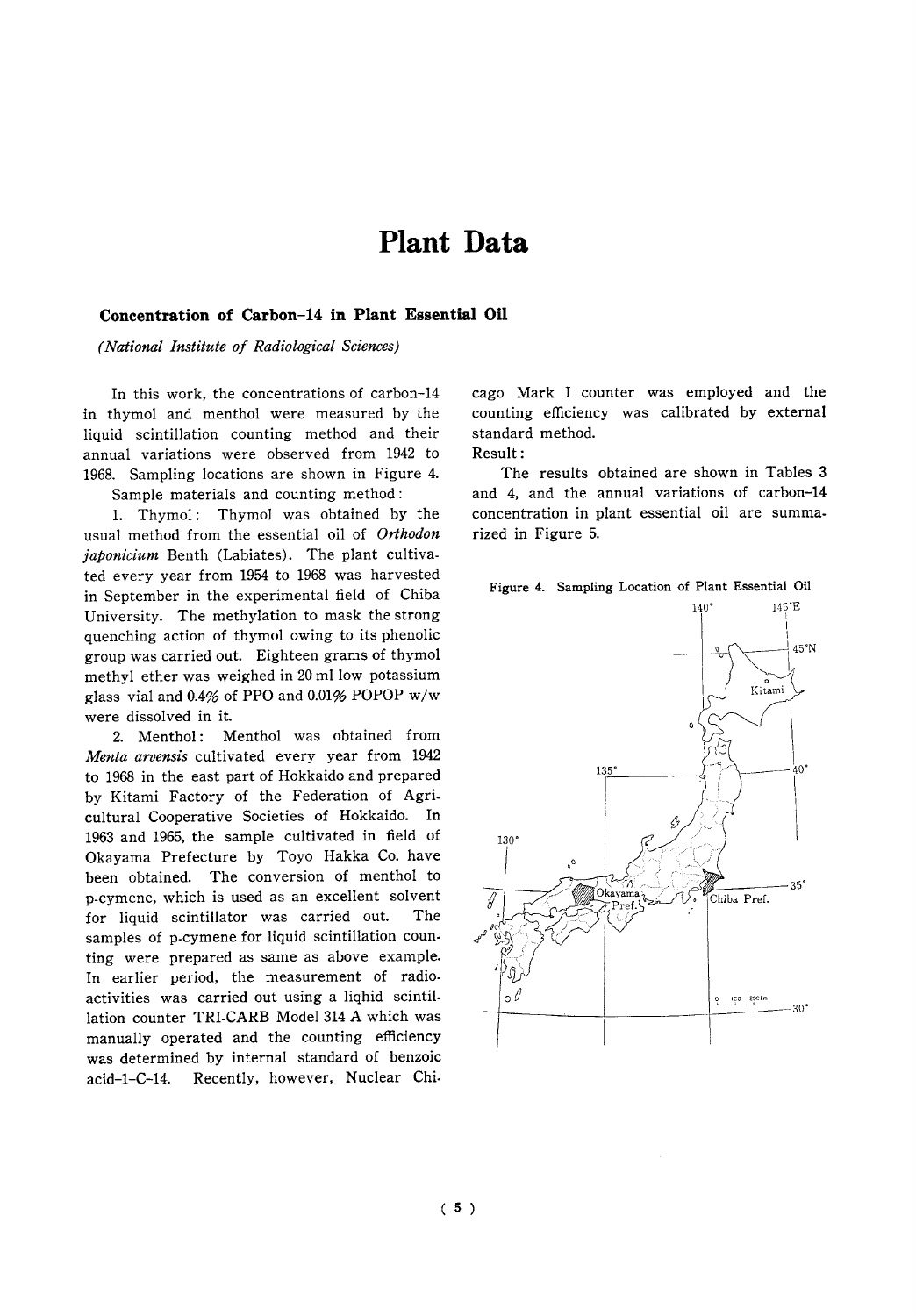### **Plant** Data

#### Concentration of Carbon-14 in Plant Essential Oil

(National Institute of Radiological Sciences)

In this work, the concentrations of carbon-14 in thymol and menthol were measured by the liquid scintillation counting method and their annual variations were observed from 1942 to 1968. Sampling locations are shown in Figure 4. Sample materials and counting method:

1. Thymol: Thymol was obtained by the usual method from the essential oil of Orthodon japonicium Benth (Labiates). The plant cultivated every year from 1954 to 1968 was harvested in September in the experimental field of Chiba University. The methylation to mask the strong quenching action of thymol owing to its phenolic group was carried out. Eighteen grams of thymol methyl ether was weighed in 20 ml low potassium glass vial and 0.4% of PPO and 0.01% POPOP w/w were dissolved in it.

2. Menthol: Menthol was obtained from Menta arvensis cultivated every year from 1942 to 1968 in the east part of Hokkaido and prepared by Kitami Factory of the Federation of Agricultural Cooperative Societies of Hokkaido. In 1963 and 1965, the sample cultivated in field of Okayama Prefecture by Toyo Hakka Co. have been obtained. The conversion of menthol to p-cymene, which is used as an excellent solvent for liquid scintillator was carried out. The samples of p-cymene for liquid scintillation counting were prepared as same as above example. In earlier period, the measurement of radioactivities was carried out using a liqhid scintillation counter TRI-CARB Model 314 A which was manually operated and the counting efficiency was determined by internal standard of benzoic Recently, however, Nuclear Chiacid-1-C-14.

cago Mark I counter was employed and the counting efficiency was calibrated by external standard method. Result:

The results obtained are shown in Tables 3 and 4, and the annual variations of carbon-14 concentration in plant essential oil are summarized in Figure 5.



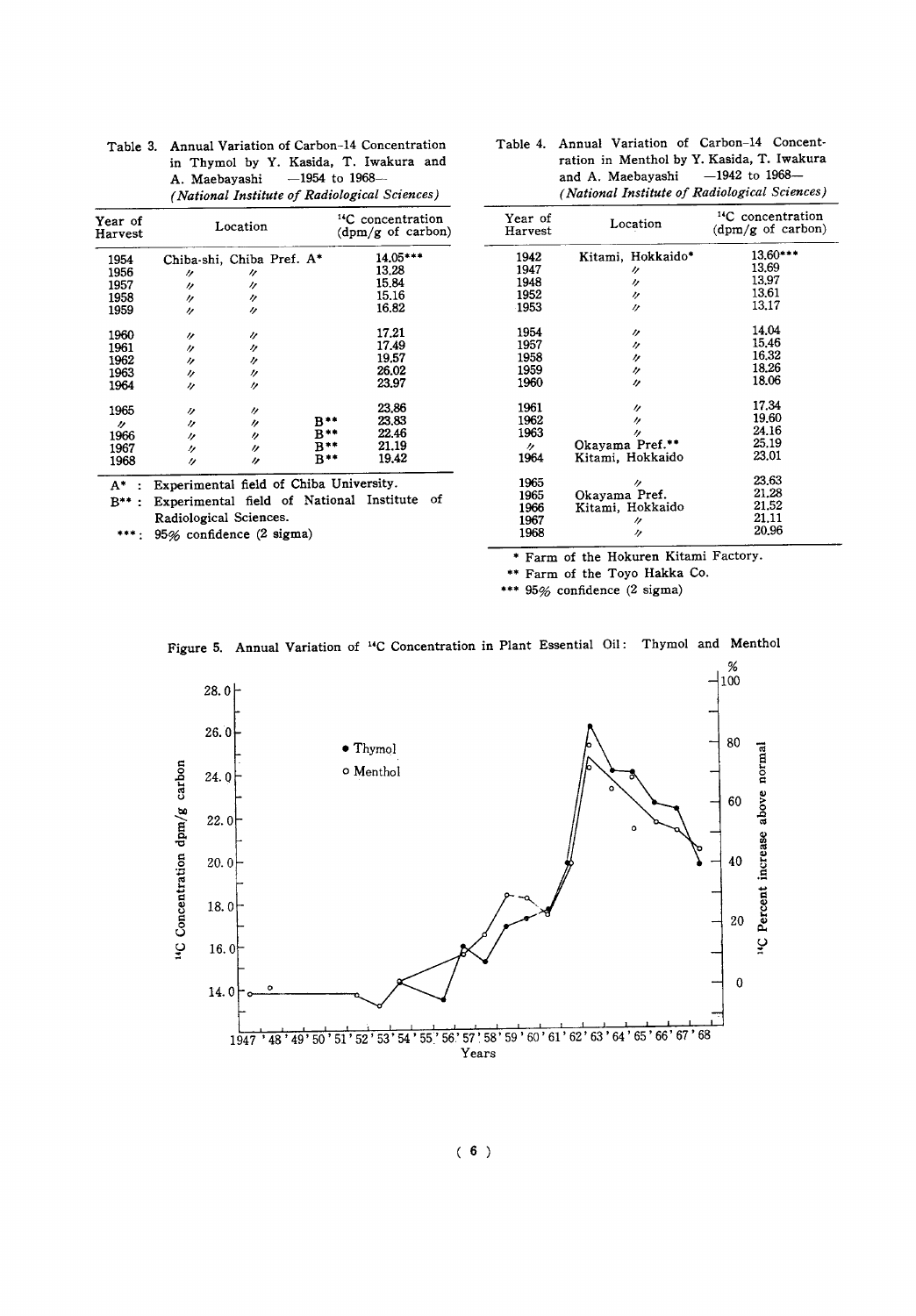| Year of<br>Harvest |          | Location                  |                | <sup>14</sup> C concentration<br>(dpm/g of carbon) |
|--------------------|----------|---------------------------|----------------|----------------------------------------------------|
| 1954               |          | Chiba-shi, Chiba Pref. A* |                | 14.05***                                           |
| 1956               | 11       | 11                        |                | 13.28                                              |
| 1957               | n        | 11                        |                | 15.84                                              |
| 1958               | 11       | 11                        |                | 15.16                                              |
| 1959               | "        | 11                        |                | 16.82                                              |
| 1960               | 11       | IJ                        |                | 17.21                                              |
| 1961               | 11       | ŋ                         |                | 17.49                                              |
| 1962               | "        | 11                        |                | 19.57                                              |
| 1963               | 11       | "                         |                | 26.02                                              |
| 1964               | 11       | n                         |                | 23.97                                              |
| 1965               | n        | 11                        |                | 23,86                                              |
| n                  | 11       | $\prime$                  | B**            | 23,83                                              |
| 1966               | 11       | n                         | B**            | 22.46                                              |
| 1967               | 11       | n                         | $B**$          | 21.19                                              |
| 1968               | $\prime$ | n                         | $B^{\ast\ast}$ | 19.42                                              |

| Table 3. Annual Variation of Carbon-14 Concentration |
|------------------------------------------------------|
| in Thymol by Y. Kasida, T. Iwakura and               |
| A. Maebayashi $-1954$ to 1968-                       |
| (National Institute of Radiological Sciences)        |

| Table 4. Annual Variation of Carbon-14 Concent- |
|-------------------------------------------------|
| ration in Menthol by Y. Kasida, T. Iwakura      |
| and A. Maebayashi $-1942$ to 1968-              |
| (National Institute of Radiological Sciences)   |

Location

<sup>14</sup>C concentration<br>(dpm/g of carbon)

| 1942 | Kitami, Hokkaido* | 13,60*** |
|------|-------------------|----------|
| 1947 | 11                | 13.69    |
| 1948 | IJ                | 13.97    |
| 1952 | 11                | 13,61    |
| 1953 | $\prime$          | 13.17    |
|      |                   |          |
| 1954 | "                 | 14.04    |
| 1957 | $^{\prime\prime}$ | 15.46    |
| 1958 | 11                | 16.32    |
| 1959 | "                 | 18.26    |
| 1960 | n                 | 18.06    |
|      |                   |          |
| 1961 | 11                | 17.34    |
| 1962 | n                 | 19.60    |
| 1963 | n                 | 24.16    |
|      | Okayama Pref.**   | 25.19    |
| "    |                   | 23.01    |
| 1964 | Kitami, Hokkaido  |          |
| 1965 | n                 | 23.63    |
|      |                   | 21.28    |
| 1965 | Okayama Pref.     |          |
| 1966 | Kitami, Hokkaido  | 21.52    |
| 1967 | "                 | 21.11    |
| 1968 | ヶ                 | 20.96    |

A\* : Experimental field of Chiba University.

B\*\*: Experimental field of National Institute of Radiological Sciences.

\*\*\*: 95% confidence (2 sigma)

\* Farm of the Hokuren Kitami Factory.

\*\* Farm of the Toyo Hakka Co.

\*\*\* 95% confidence (2 sigma)

Year of<br>Harvest



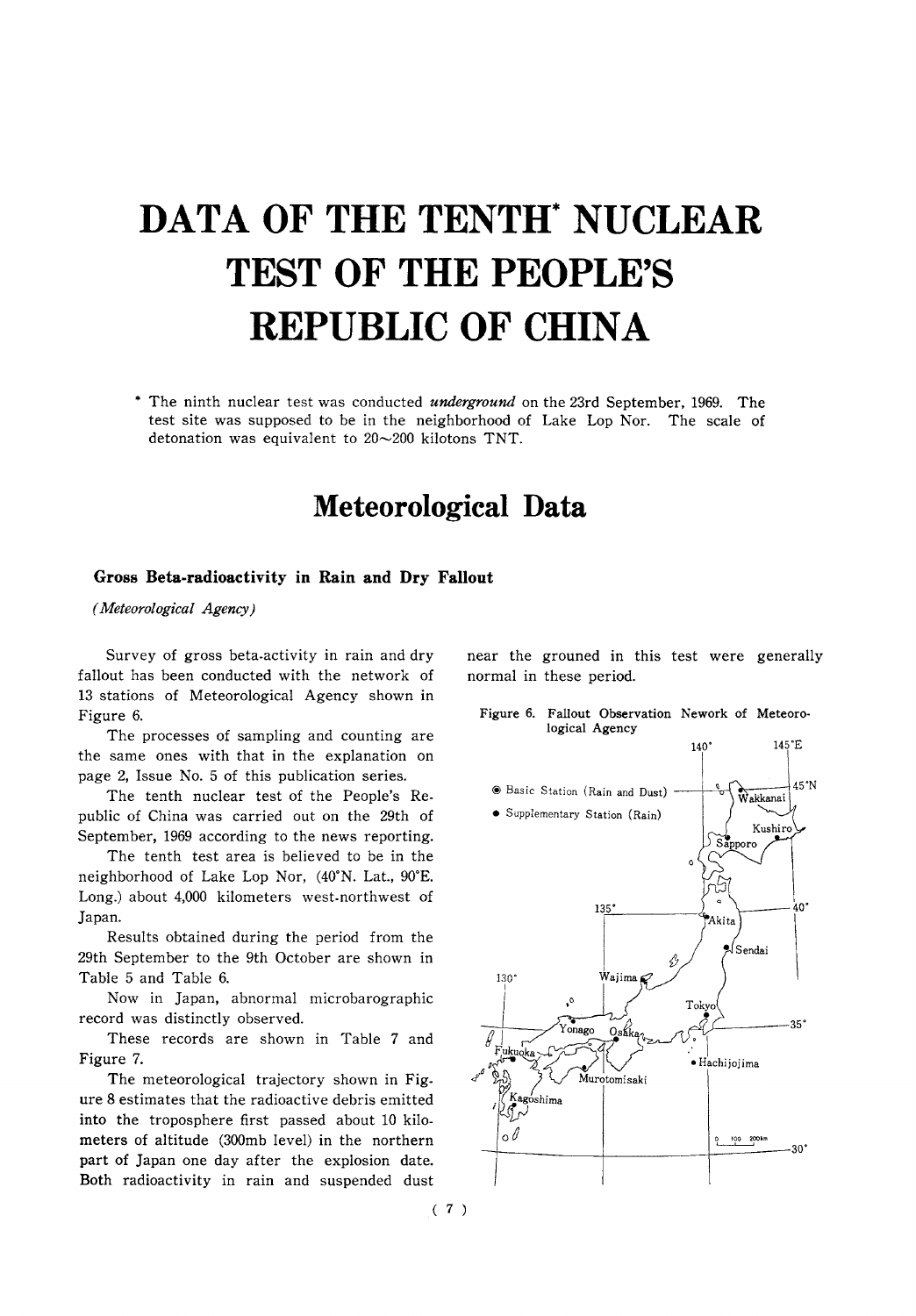# **DATA OF THE TENTH' NUCLEAR TEST OF THE PEOPLE'S REPUBLIC OF CHINA**

\* The ninth nuclear test was conducted *underground* on the 23rd September, 1969. The test site was supposed to be in the neighborhood of Lake Lop Nor. The scale of detonation was equivalent to  $20 \sim 200$  kilotons TNT.

### **Meteorological Data**

#### Gross Beta-radioactivity in Rain and Dry Fallout

(Meteorological Agency)

Survey of gross beta-activity in rain and dry fallout has been conducted with the network of 13 stations of Meteorological Agency shown in Figure 6.

The processes of sampling and counting are the same ones with that in the explanation on page 2, Issue No. 5 of this publication series.

The tenth nuclear test of the People's Republic of China was carried out on the 29th of September, 1969 according to the news reporting.

The tenth test area is believed to be in the neighborhood of Lake Lop Nor, (40°N. Lat., 90°E. Long.) about 4,000 kilometers west-northwest of Japan.

Results obtained during the period from the 29th September to the 9th October are shown in Table 5 and Table 6.

Now in Japan, abnormal microbarographic record was distinctly observed.

These records are shown in Table 7 and Figure 7.

The meteorological trajectory shown in Figure 8 estimates that the radioactive debris emitted into the troposphere first passed about 10 kilometers of altitude (300mb level) in the northern part of Japan one day after the explosion date. Both radioactivity in rain and suspended dust

near the grouned in this test were generally normal in these period.

Figure 6. Fallout Observation Nework of Meteorological Agency



 $(7)$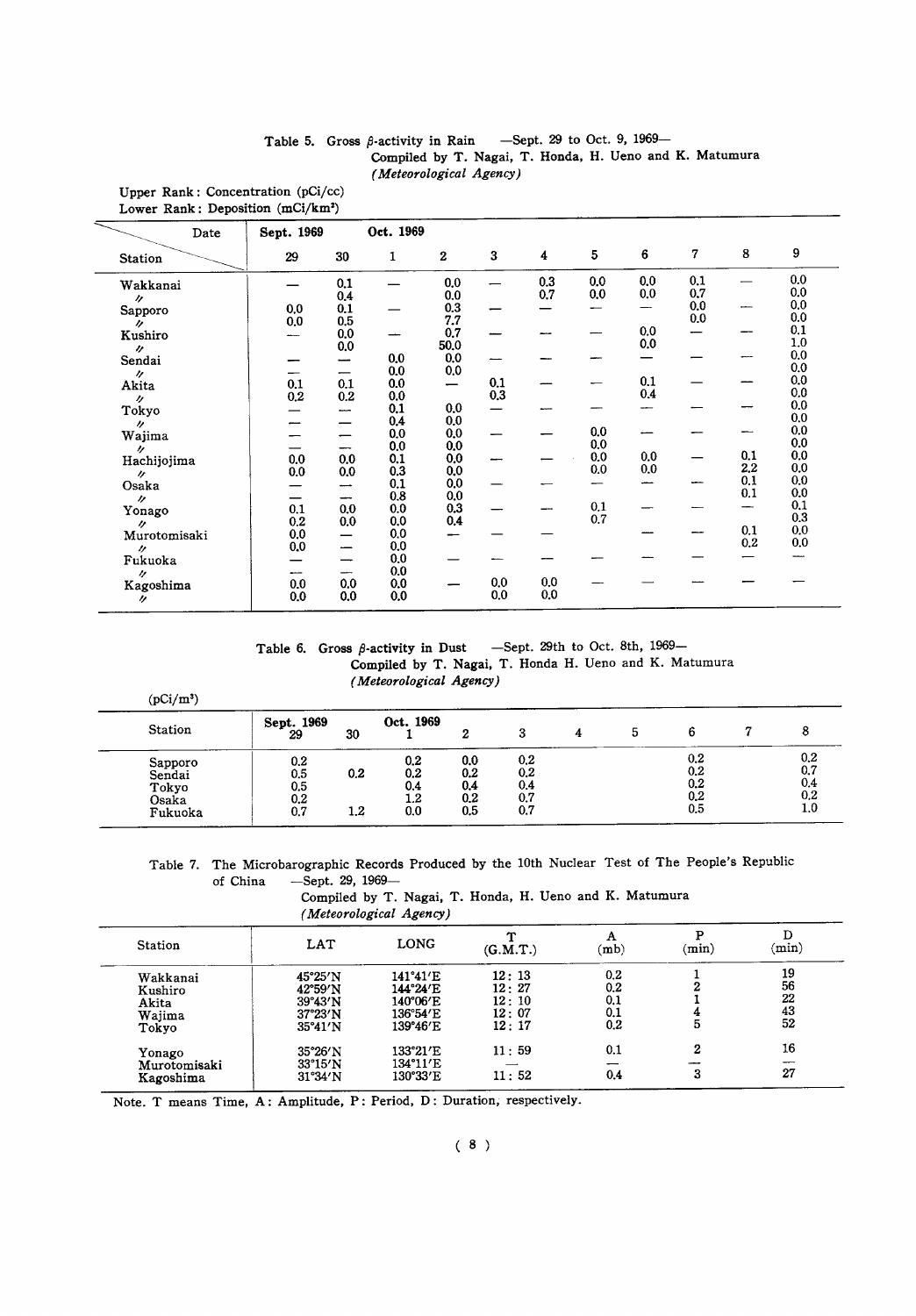#### Table 5. Gross  $\beta$ -activity in Rain -Sept. 29 to Oct. 9, 1969-Compiled by T. Nagai, T. Honda, H. Ueno and K. Matumura (Meteorological Agency)

Upper Rank: Concentration (pCi/cc) Lower Rank: Deposition  $(mCi/km^2)$ 

| Date                  | Sept. 1969 |                          | Oct. 1969 |              |            |            |                 |     |     |     |            |
|-----------------------|------------|--------------------------|-----------|--------------|------------|------------|-----------------|-----|-----|-----|------------|
| Station               | 29         | 30                       | 1         | $\mathbf{2}$ | 3          | 4          | $5\phantom{.0}$ | 6   | 7   | 8   | 9          |
| Wakkanai              |            | 0.1                      |           | $0.0\,$      |            | 0.3        | 0.0             | 0.0 | 0.1 |     | 0.0        |
| n.                    |            | 0.4                      |           | 0.0          |            | 0.7        | 0.0             | 0,0 | 0.7 |     | 0.0        |
| Sapporo               | 0,0        | 0.1                      |           | 0.3          |            |            | --              | —   | 0.0 |     | 0.0        |
| W.                    | 0.0        | 0.5                      |           | 7.7          |            |            |                 |     | 0,0 |     | 0.0        |
| Kushiro               |            | 0.0                      |           | 0.7          |            |            |                 | 0.0 |     |     | 0.1        |
| $\overline{U}$        |            | 0.0                      |           | 50.0         |            |            |                 | 0.0 |     |     | 1.0        |
| Sendai                |            | --                       | 0.0       | 0.0          |            |            |                 |     |     |     | 0.0        |
| $\prime$              |            | —                        | 0.0       | 0,0          |            |            |                 |     |     |     | 0.0        |
| Akita                 | 0.1        | 0.1                      | 0.0       | -            | 0.1        |            |                 | 0.1 |     |     | 0.0        |
| $\prime$              | 0.2        | 0.2                      | 0.0       |              | 0.3        |            |                 | 0.4 |     |     | 0.0        |
| Tokyo                 |            | ----                     | 0.1       | 0,0          |            |            |                 |     |     |     | 0.0        |
| $^{\prime\prime}$     |            | $\overline{\phantom{0}}$ | 0.4       | 0.0          |            |            |                 |     |     |     | 0.0<br>0.0 |
| Wajima                | -          |                          | 0.0       | 0.0          |            |            | 0.0             |     |     |     | 0.0        |
| $\boldsymbol{\prime}$ |            | --                       | 0.0       | 0.0          |            |            | 0.0             |     |     | 0.1 | 0.0        |
| Hachijojima           | 0.0        | 0,0                      | 0.1       | 0.0          |            |            | 0.0             | 0.0 |     | 2.2 | 0.0        |
| r,                    | 0.0        | 0.0                      | 0.3       | 0.0          |            |            | 0.0             | 0.0 |     | 0.1 | 0.0        |
| Osaka                 |            | ---                      | 0.1       | 0.0          |            |            |                 |     |     | 0.1 | 0.0        |
| $\prime$              | –          | --                       | 0.8       | 0.0          |            |            |                 |     |     |     | 0.1        |
| Yonago                | 0.1        | 0.0                      | 0.0       | 0.3          |            |            | 0.1             |     |     |     | 0.3        |
| $^{\prime\prime}$     | 0.2        | 0.0                      | 0.0       | 0.4          |            |            | 0.7             |     |     | 0.1 | 0.0        |
| Murotomisaki          | 0.0        |                          | 0.0       |              |            |            |                 |     |     | 0.2 | 0.0        |
| n                     | 0.0        |                          | 0.0       |              |            |            |                 |     |     |     |            |
| Fukuoka               |            | —                        | 0.0       |              |            |            |                 |     |     |     |            |
| $\prime$              | ----       | $-$                      | 0.0       |              |            |            |                 |     |     |     |            |
| Kagoshima             | 0.0        | 0.0                      | 0.0       |              | 0.0<br>0.0 | 0.0<br>0.0 |                 |     |     |     |            |
| n                     | 0.0        | 0.0                      | 0.0       |              |            |            |                 |     |     |     |            |

Table 6. Gross  $\beta$ -activity in Dust -Sept. 29th to Oct. 8th, 1969-Compiled by T. Nagai, T. Honda H. Ueno and K. Matumura (Meteorological Agency)

| <b>Station</b>                      | Sept. 1969<br>29         | 30  | Oct. 1969                |                          |                               | 4 | ১ |                          |                               |
|-------------------------------------|--------------------------|-----|--------------------------|--------------------------|-------------------------------|---|---|--------------------------|-------------------------------|
| Sapporo<br>Sendai<br>Tokyo<br>Osaka | 0.2<br>0.5<br>0.5<br>0.2 | 0.2 | 0.2<br>0.2<br>0.4<br>1.2 | 0,0<br>0.2<br>0.4<br>0.2 | 0.2<br>0.2<br>0.4<br>$_{0.7}$ |   |   | 0.2<br>0.2<br>0.2<br>0.2 | 0.2<br>$_{0.7}$<br>0.4<br>0.2 |
| Fukuoka                             | 0.7                      | 1.2 | 0.0                      | 0,5                      | 0.7                           |   |   | 0.5                      | 1.0                           |

Table 7. The Microbarographic Records Produced by the 10th Nuclear Test of The People's Republic of China - Sept. 29, 1969-

| Compiled by T. Nagai, T. Honda, H. Ueno and K. Matumura |  |  |  |  |
|---------------------------------------------------------|--|--|--|--|
| (Meteorological Agency)                                 |  |  |  |  |

| <b>Station</b> | LAT               | LONG     | ጥ<br>(G.M.T.) | $(\mathbf{mb})$ | (min)            | (min) |
|----------------|-------------------|----------|---------------|-----------------|------------------|-------|
| Wakkanai       | 45°25′N           | 141°41′E | 12:13         | 0.2             |                  | 19    |
| Kushiro        | 42°59′N           | 144°24′E | 12:27         | $_{0.2}$        | 2                | 56    |
| Akita          | 39°43'N           | 140°06′E | 12:10         | 0.1             |                  | 22    |
| Wajima         | 37°23'N           | 136°54′E | 12:07         | $_{0.1}$        |                  | 43    |
| Tokyo          | 35°41'N           | 139°46′E | 12:17         | 0.2             | 5                | 52    |
| Yonago         | 35°26′N           | 133°21′E | 11:59         | 0.1             | $\boldsymbol{2}$ | 16    |
| Murotomisaki   | $33^{\circ}15'$ N | 134°11′E |               | --              |                  |       |
| Kagoshima      | 31°34'N           | 130°33'E | 11:52         | 0.4             | 3                | 27    |

Note. T means Time, A: Amplitude, P: Period, D: Duration, respectively.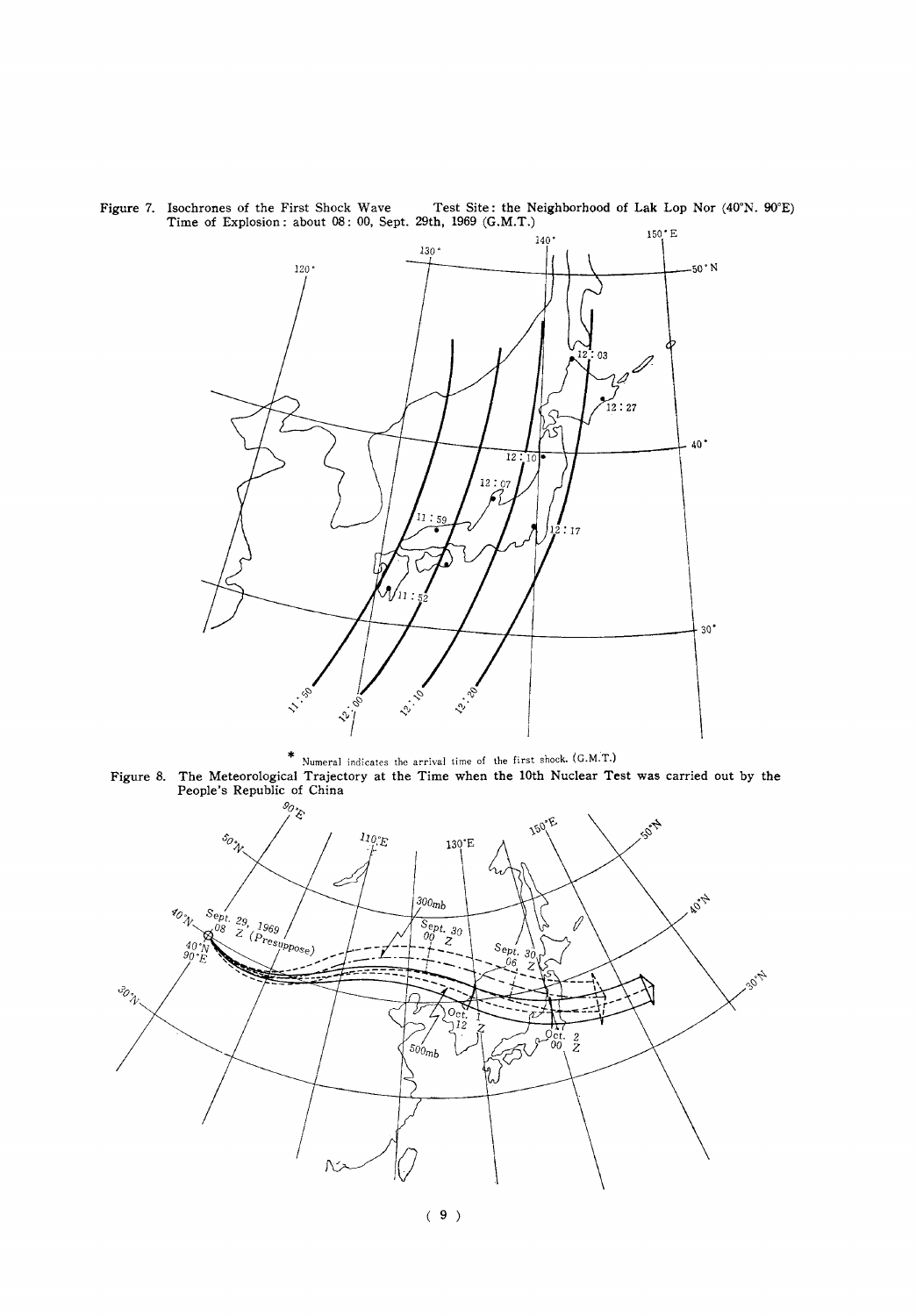

Figure 7. Isochrones of the First Shock Wave<br>Test Site: the Neighborhood of Lak Lop Nor (40°N. 90°E)<br>Time of Explosion: about 08: 00, Sept. 29th, 1969 (G.M.T.)

<sup>\*</sup> Numeral indicates the arrival time of the first shock. (G.M.T.)<br>Figure 8. The Meteorological Trajectory at the Time when the 10th Nuclear Test was carried out by the<br>People's Republic of China

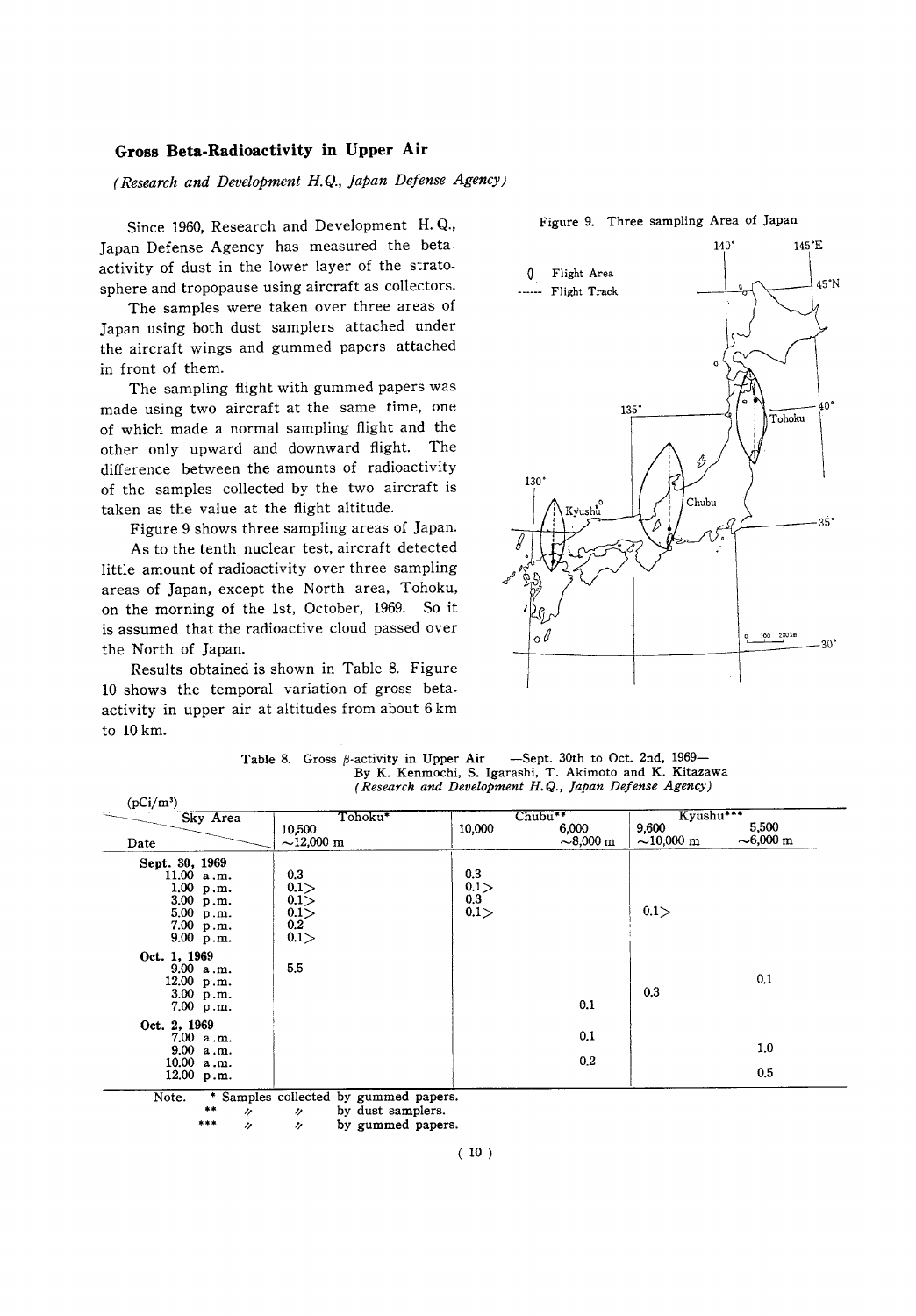#### Gross Beta-Radioactivity in Upper Air

(Research and Development H.Q., Japan Defense Agency)

Since 1960, Research and Development H.Q., Japan Defense Agency has measured the betaactivity of dust in the lower layer of the stratosphere and tropopause using aircraft as collectors.

The samples were taken over three areas of Japan using both dust samplers attached under the aircraft wings and gummed papers attached in front of them.

The sampling flight with gummed papers was made using two aircraft at the same time, one of which made a normal sampling flight and the other only upward and downward flight. The difference between the amounts of radioactivity of the samples collected by the two aircraft is taken as the value at the flight altitude.

Figure 9 shows three sampling areas of Japan.

As to the tenth nuclear test, aircraft detected little amount of radioactivity over three sampling areas of Japan, except the North area, Tohoku, on the morning of the 1st, October, 1969. So it is assumed that the radioactive cloud passed over the North of Japan.

Results obtained is shown in Table 8. Figure 10 shows the temporal variation of gross betaactivity in upper air at altitudes from about 6 km to 10 km.



Figure 9. Three sampling Area of Japan

-Sept. 30th to Oct. 2nd, 1969-Table 8. Gross  $\beta$ -activity in Upper Air By K. Kenmochi, S. Igarashi, T. Akimoto and K. Kitazawa (Research and Development H.Q., Japan Defense Agency)

| Sky Area                                                                                      | Tohoku*                                    |                          | Chubu**                 | Kyushu***                |                                 |  |
|-----------------------------------------------------------------------------------------------|--------------------------------------------|--------------------------|-------------------------|--------------------------|---------------------------------|--|
| Date                                                                                          | 10,500<br>$\sim$ 12,000 m                  | 10,000                   | 6,000<br>$\sim$ 8,000 m | 9,600<br>$\sim$ 10.000 m | 5,500<br>$\sim 6,000 \text{ m}$ |  |
| Sept. 30, 1969<br>11.00 a.m.<br>1.00 p.m.<br>3.00 p.m.<br>5.00 p.m.<br>7.00 p.m.<br>9.00 p.m. | 0.3<br>0.1<br>0.1<br>0.1<br>$0.2\,$<br>0.1 | 0.3<br>0.1<br>0.3<br>0.1 |                         | 0.1                      |                                 |  |
| Oct. 1, 1969<br>9.00 a.m.<br>12.00 p.m.<br>$3.00$ p.m.<br>7.00 p.m.                           | 5.5                                        |                          | 0.1                     | 0.3                      | 0.1                             |  |
| Oct. 2, 1969<br>7.00 a.m.<br>9.00 a.m.<br>10.00 a.m.<br>12.00 p.m.                            |                                            |                          | 0.1<br>0.2              |                          | 1.0<br>0.5                      |  |

by dust samplers.  $^{\prime\prime}$ 

by gummed papers.  $\prime$